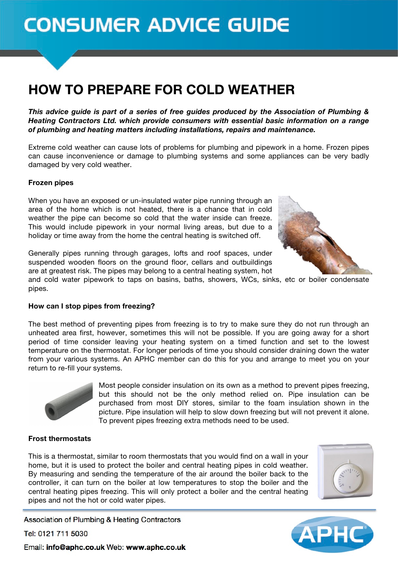# **CONSUMER ADVICE GUIDE**

# HOW TO PREPARE FOR COLD WEATHER

*This advice guide is part of a series of free guides produced by the Association of Plumbing & Heating Contractors Ltd. which provide consumers with essential basic information on a range of plumbing and heating matters including installations, repairs and maintenance.* 

Extreme cold weather can cause lots of problems for plumbing and pipework in a home. Frozen pipes can cause inconvenience or damage to plumbing systems and some appliances can be very badly damaged by very cold weather.

# **Frozen pipes**

When you have an exposed or un-insulated water pipe running through an area of the home which is not heated, there is a chance that in cold weather the pipe can become so cold that the water inside can freeze. This would include pipework in your normal living areas, but due to a holiday or time away from the home the central heating is switched off.

Generally pipes running through garages, lofts and roof spaces, under suspended wooden floors on the ground floor, cellars and outbuildings are at greatest risk. The pipes may belong to a central heating system, hot

and cold water pipework to taps on basins, baths, showers, WCs, sinks, etc or boiler condensate pipes.

# **How can I stop pipes from freezing?**

The best method of preventing pipes from freezing is to try to make sure they do not run through an unheated area first, however, sometimes this will not be possible. If you are going away for a short period of time consider leaving your heating system on a timed function and set to the lowest temperature on the thermostat. For longer periods of time you should consider draining down the water from your various systems. An APHC member can do this for you and arrange to meet you on your return to re-fill your systems.



Most people consider insulation on its own as a method to prevent pipes freezing, but this should not be the only method relied on. Pipe insulation can be purchased from most DIY stores, similar to the foam insulation shown in the picture. Pipe insulation will help to slow down freezing but will not prevent it alone. To prevent pipes freezing extra methods need to be used.

# **Frost thermostats**

This is a thermostat, similar to room thermostats that you would find on a wall in your home, but it is used to protect the boiler and central heating pipes in cold weather. By measuring and sending the temperature of the air around the boiler back to the controller, it can turn on the boiler at low temperatures to stop the boiler and the central heating pipes freezing. This will only protect a boiler and the central heating pipes and not the hot or cold water pipes.

Association of Plumbing & Heating Contractors

Tel: 0121 711 5030





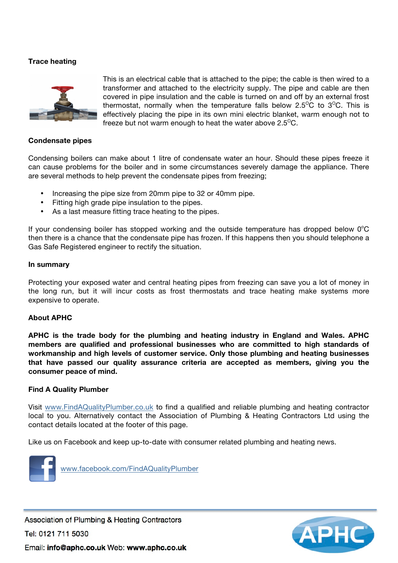# **Trace heating**



This is an electrical cable that is attached to the pipe; the cable is then wired to a transformer and attached to the electricity supply. The pipe and cable are then covered in pipe insulation and the cable is turned on and off by an external frost thermostat, normally when the temperature falls below  $2.5\textdegree$ C to  $3\textdegree$ C. This is effectively placing the pipe in its own mini electric blanket, warm enough not to freeze but not warm enough to heat the water above  $2.5^{\circ}$ C.

# **Condensate pipes**

Condensing boilers can make about 1 litre of condensate water an hour. Should these pipes freeze it can cause problems for the boiler and in some circumstances severely damage the appliance. There are several methods to help prevent the condensate pipes from freezing;

- Increasing the pipe size from 20mm pipe to 32 or 40mm pipe.
- Fitting high grade pipe insulation to the pipes.
- As a last measure fitting trace heating to the pipes.

If your condensing boiler has stopped working and the outside temperature has dropped below  $0^{\circ}$ C then there is a chance that the condensate pipe has frozen. If this happens then you should telephone a Gas Safe Registered engineer to rectify the situation.

# **In summary**

Protecting your exposed water and central heating pipes from freezing can save you a lot of money in the long run, but it will incur costs as frost thermostats and trace heating make systems more expensive to operate.

# **About APHC**

**APHC is the trade body for the plumbing and heating industry in England and Wales. APHC members are qualified and professional businesses who are committed to high standards of workmanship and high levels of customer service. Only those plumbing and heating businesses that have passed our quality assurance criteria are accepted as members, giving you the consumer peace of mind.**

# **Find A Quality Plumber**

Visit www.FindAQualityPlumber.co.uk to find a qualified and reliable plumbing and heating contractor local to you. Alternatively contact the Association of Plumbing & Heating Contractors Ltd using the contact details located at the footer of this page.

Like us on Facebook and keep up-to-date with consumer related plumbing and heating news.



www.facebook.com/FindAQualityPlumber

Association of Plumbing & Heating Contractors Tel: 0121 711 5030 Email: info@aphc.co.uk Web: www.aphc.co.uk